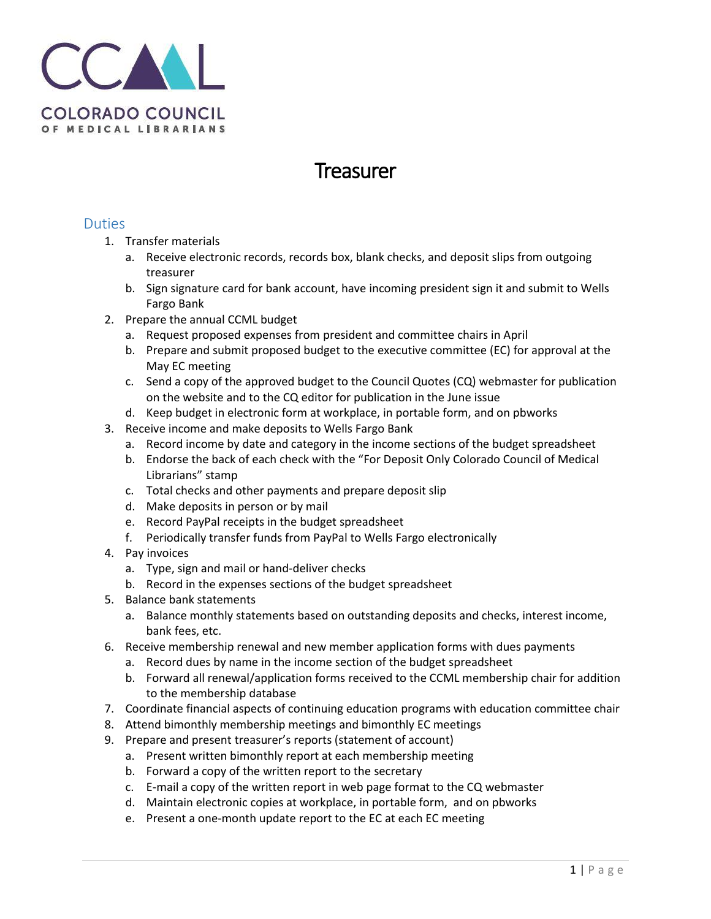

## Treasurer

## Duties

- 1. Transfer materials
	- a. Receive electronic records, records box, blank checks, and deposit slips from outgoing treasurer
	- b. Sign signature card for bank account, have incoming president sign it and submit to Wells Fargo Bank
- 2. Prepare the annual CCML budget
	- a. Request proposed expenses from president and committee chairs in April
	- b. Prepare and submit proposed budget to the executive committee (EC) for approval at the May EC meeting
	- c. Send a copy of the approved budget to the Council Quotes (CQ) webmaster for publication on the website and to the CQ editor for publication in the June issue
	- d. Keep budget in electronic form at workplace, in portable form, and on pbworks
- 3. Receive income and make deposits to Wells Fargo Bank
	- a. Record income by date and category in the income sections of the budget spreadsheet
	- b. Endorse the back of each check with the "For Deposit Only Colorado Council of Medical Librarians" stamp
	- c. Total checks and other payments and prepare deposit slip
	- d. Make deposits in person or by mail
	- e. Record PayPal receipts in the budget spreadsheet
	- f. Periodically transfer funds from PayPal to Wells Fargo electronically
- 4. Pay invoices
	- a. Type, sign and mail or hand-deliver checks
	- b. Record in the expenses sections of the budget spreadsheet
- 5. Balance bank statements
	- a. Balance monthly statements based on outstanding deposits and checks, interest income, bank fees, etc.
- 6. Receive membership renewal and new member application forms with dues payments
	- a. Record dues by name in the income section of the budget spreadsheet
	- b. Forward all renewal/application forms received to the CCML membership chair for addition to the membership database
- 7. Coordinate financial aspects of continuing education programs with education committee chair
- 8. Attend bimonthly membership meetings and bimonthly EC meetings
- 9. Prepare and present treasurer's reports (statement of account)
	- a. Present written bimonthly report at each membership meeting
	- b. Forward a copy of the written report to the secretary
	- c. E-mail a copy of the written report in web page format to the CQ webmaster
	- d. Maintain electronic copies at workplace, in portable form, and on pbworks
	- e. Present a one-month update report to the EC at each EC meeting